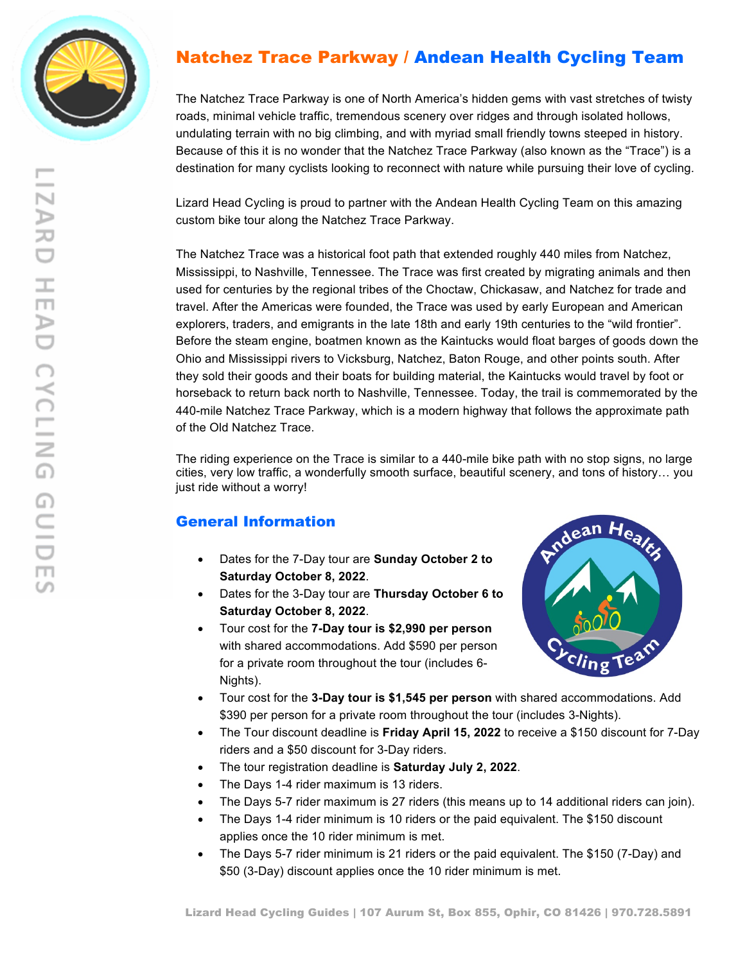

The Natchez Trace Parkway is one of North America's hidden gems with vast stretches of twisty roads, minimal vehicle traffic, tremendous scenery over ridges and through isolated hollows, undulating terrain with no big climbing, and with myriad small friendly towns steeped in history. Because of this it is no wonder that the Natchez Trace Parkway (also known as the "Trace") is a destination for many cyclists looking to reconnect with nature while pursuing their love of cycling.

Lizard Head Cycling is proud to partner with the Andean Health Cycling Team on this amazing custom bike tour along the Natchez Trace Parkway.

The Natchez Trace was a historical foot path that extended roughly 440 miles from Natchez, Mississippi, to Nashville, Tennessee. The Trace was first created by migrating animals and then used for centuries by the regional tribes of the Choctaw, Chickasaw, and Natchez for trade and travel. After the Americas were founded, the Trace was used by early European and American explorers, traders, and emigrants in the late 18th and early 19th centuries to the "wild frontier". Before the steam engine, boatmen known as the Kaintucks would float barges of goods down the Ohio and Mississippi rivers to Vicksburg, Natchez, Baton Rouge, and other points south. After they sold their goods and their boats for building material, the Kaintucks would travel by foot or horseback to return back north to Nashville, Tennessee. Today, the trail is commemorated by the 440-mile Natchez Trace Parkway, which is a modern highway that follows the approximate path of the Old Natchez Trace.

The riding experience on the Trace is similar to a 440-mile bike path with no stop signs, no large cities, very low traffic, a wonderfully smooth surface, beautiful scenery, and tons of history… you just ride without a worry!

#### General Information

- Dates for the 7-Day tour are **Sunday October 2 to Saturday October 8, 2022**.
- Dates for the 3-Day tour are **Thursday October 6 to Saturday October 8, 2022**.
- Tour cost for the **7-Day tour is \$2,990 per person** with shared accommodations. Add \$590 per person for a private room throughout the tour (includes 6- Nights).



- Tour cost for the **3-Day tour is \$1,545 per person** with shared accommodations. Add \$390 per person for a private room throughout the tour (includes 3-Nights).
- The Tour discount deadline is **Friday April 15, 2022** to receive a \$150 discount for 7-Day riders and a \$50 discount for 3-Day riders.
- The tour registration deadline is **Saturday July 2, 2022**.
- The Days 1-4 rider maximum is 13 riders.
- The Days 5-7 rider maximum is 27 riders (this means up to 14 additional riders can join).
- The Days 1-4 rider minimum is 10 riders or the paid equivalent. The \$150 discount applies once the 10 rider minimum is met.
- The Days 5-7 rider minimum is 21 riders or the paid equivalent. The \$150 (7-Day) and \$50 (3-Day) discount applies once the 10 rider minimum is met.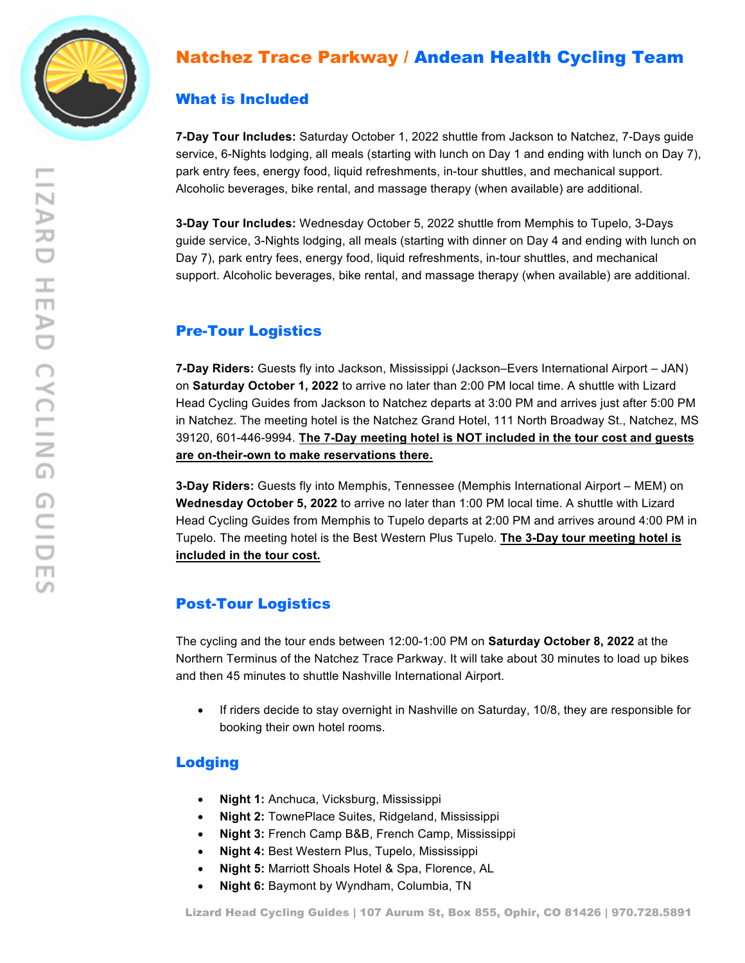

## What is Included

**7-Day Tour Includes:** Saturday October 1, 2022 shuttle from Jackson to Natchez, 7-Days guide service, 6-Nights lodging, all meals (starting with lunch on Day 1 and ending with lunch on Day 7), park entry fees, energy food, liquid refreshments, in-tour shuttles, and mechanical support. Alcoholic beverages, bike rental, and massage therapy (when available) are additional.

**3-Day Tour Includes:** Wednesday October 5, 2022 shuttle from Memphis to Tupelo, 3-Days guide service, 3-Nights lodging, all meals (starting with dinner on Day 4 and ending with lunch on Day 7), park entry fees, energy food, liquid refreshments, in-tour shuttles, and mechanical support. Alcoholic beverages, bike rental, and massage therapy (when available) are additional.

### Pre-Tour Logistics

**7-Day Riders:** Guests fly into Jackson, Mississippi (Jackson–Evers International Airport – JAN) on **Saturday October 1, 2022** to arrive no later than 2:00 PM local time. A shuttle with Lizard Head Cycling Guides from Jackson to Natchez departs at 3:00 PM and arrives just after 5:00 PM in Natchez. The meeting hotel is the Natchez Grand Hotel, 111 North Broadway St., Natchez, MS 39120, 601-446-9994. **The 7-Day meeting hotel is NOT included in the tour cost and guests are on-their-own to make reservations there.**

**3-Day Riders:** Guests fly into Memphis, Tennessee (Memphis International Airport – MEM) on **Wednesday October 5, 2022** to arrive no later than 1:00 PM local time. A shuttle with Lizard Head Cycling Guides from Memphis to Tupelo departs at 2:00 PM and arrives around 4:00 PM in Tupelo. The meeting hotel is the Best Western Plus Tupelo. **The 3-Day tour meeting hotel is included in the tour cost.**

### Post-Tour Logistics

The cycling and the tour ends between 12:00-1:00 PM on **Saturday October 8, 2022** at the Northern Terminus of the Natchez Trace Parkway. It will take about 30 minutes to load up bikes and then 45 minutes to shuttle Nashville International Airport.

• If riders decide to stay overnight in Nashville on Saturday, 10/8, they are responsible for booking their own hotel rooms.

### Lodging

- **Night 1:** Anchuca, Vicksburg, Mississippi
- **Night 2:** TownePlace Suites, Ridgeland, Mississippi
- **Night 3:** French Camp B&B, French Camp, Mississippi
- **Night 4:** Best Western Plus, Tupelo, Mississippi
- **Night 5:** Marriott Shoals Hotel & Spa, Florence, AL
- **Night 6:** Baymont by Wyndham, Columbia, TN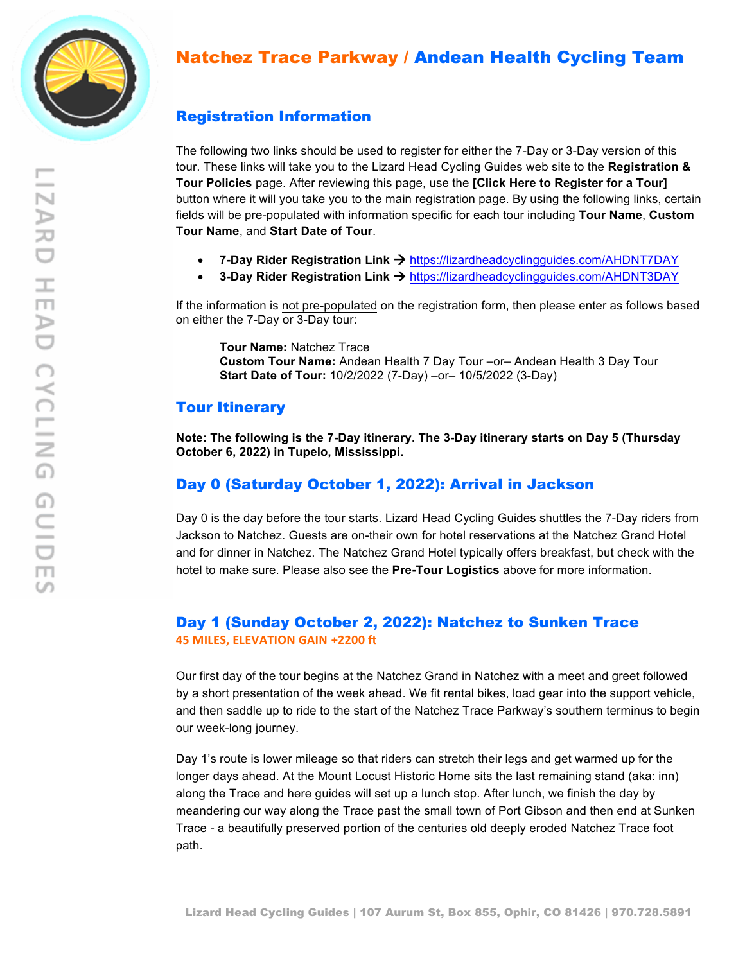

## Registration Information

The following two links should be used to register for either the 7-Day or 3-Day version of this tour. These links will take you to the Lizard Head Cycling Guides web site to the **Registration & Tour Policies** page. After reviewing this page, use the **[Click Here to Register for a Tour]** button where it will you take you to the main registration page. By using the following links, certain fields will be pre-populated with information specific for each tour including **Tour Name**, **Custom Tour Name**, and **Start Date of Tour**.

- **7-Day Rider Registration Link** à https://lizardheadcyclingguides.com/AHDNT7DAY
- **3-Day Rider Registration Link > https://lizardheadcyclingguides.com/AHDNT3DAY**

If the information is not pre-populated on the registration form, then please enter as follows based on either the 7-Day or 3-Day tour:

**Tour Name:** Natchez Trace **Custom Tour Name:** Andean Health 7 Day Tour –or– Andean Health 3 Day Tour **Start Date of Tour:** 10/2/2022 (7-Day) –or– 10/5/2022 (3-Day)

#### Tour Itinerary

**Note: The following is the 7-Day itinerary. The 3-Day itinerary starts on Day 5 (Thursday October 6, 2022) in Tupelo, Mississippi.**

### Day 0 (Saturday October 1, 2022): Arrival in Jackson

Day 0 is the day before the tour starts. Lizard Head Cycling Guides shuttles the 7-Day riders from Jackson to Natchez. Guests are on-their own for hotel reservations at the Natchez Grand Hotel and for dinner in Natchez. The Natchez Grand Hotel typically offers breakfast, but check with the hotel to make sure. Please also see the **Pre-Tour Logistics** above for more information.

### Day 1 (Sunday October 2, 2022): Natchez to Sunken Trace **45 MILES, ELEVATION GAIN +2200 ft**

Our first day of the tour begins at the Natchez Grand in Natchez with a meet and greet followed by a short presentation of the week ahead. We fit rental bikes, load gear into the support vehicle, and then saddle up to ride to the start of the Natchez Trace Parkway's southern terminus to begin our week-long journey.

Day 1's route is lower mileage so that riders can stretch their legs and get warmed up for the longer days ahead. At the Mount Locust Historic Home sits the last remaining stand (aka: inn) along the Trace and here guides will set up a lunch stop. After lunch, we finish the day by meandering our way along the Trace past the small town of Port Gibson and then end at Sunken Trace - a beautifully preserved portion of the centuries old deeply eroded Natchez Trace foot path.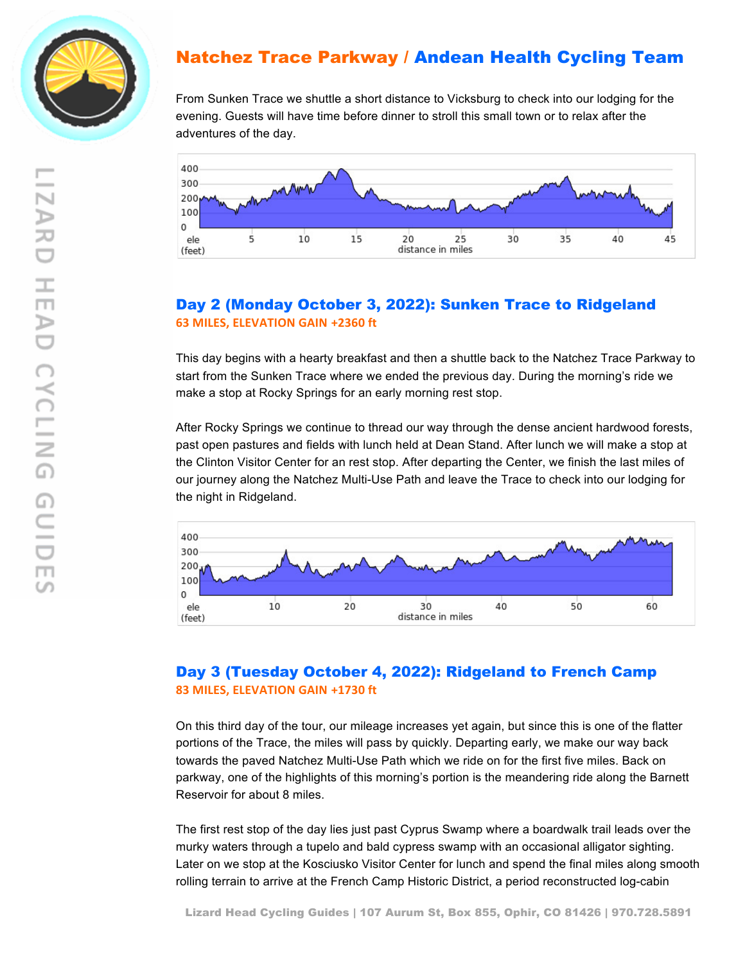

From Sunken Trace we shuttle a short distance to Vicksburg to check into our lodging for the evening. Guests will have time before dinner to stroll this small town or to relax after the adventures of the day.



#### Day 2 (Monday October 3, 2022): Sunken Trace to Ridgeland **63 MILES, ELEVATION GAIN +2360 ft**

This day begins with a hearty breakfast and then a shuttle back to the Natchez Trace Parkway to start from the Sunken Trace where we ended the previous day. During the morning's ride we make a stop at Rocky Springs for an early morning rest stop.

After Rocky Springs we continue to thread our way through the dense ancient hardwood forests, past open pastures and fields with lunch held at Dean Stand. After lunch we will make a stop at the Clinton Visitor Center for an rest stop. After departing the Center, we finish the last miles of our journey along the Natchez Multi-Use Path and leave the Trace to check into our lodging for the night in Ridgeland.



#### Day 3 (Tuesday October 4, 2022): Ridgeland to French Camp **83 MILES, ELEVATION GAIN +1730 ft**

On this third day of the tour, our mileage increases yet again, but since this is one of the flatter portions of the Trace, the miles will pass by quickly. Departing early, we make our way back towards the paved Natchez Multi-Use Path which we ride on for the first five miles. Back on parkway, one of the highlights of this morning's portion is the meandering ride along the Barnett Reservoir for about 8 miles.

The first rest stop of the day lies just past Cyprus Swamp where a boardwalk trail leads over the murky waters through a tupelo and bald cypress swamp with an occasional alligator sighting. Later on we stop at the Kosciusko Visitor Center for lunch and spend the final miles along smooth rolling terrain to arrive at the French Camp Historic District, a period reconstructed log-cabin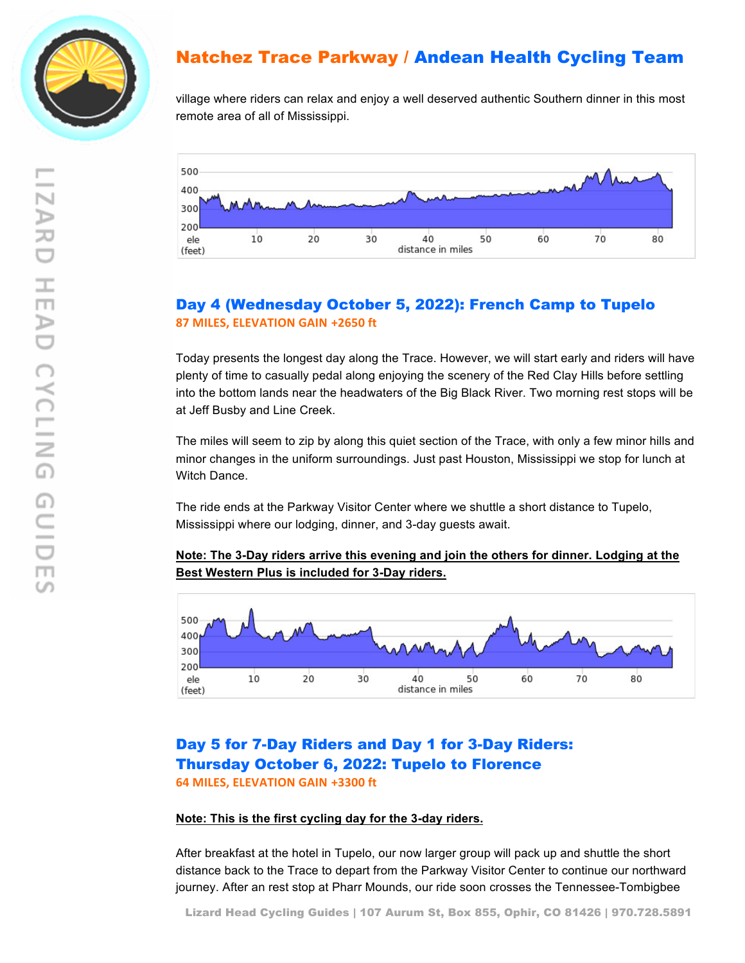

village where riders can relax and enjoy a well deserved authentic Southern dinner in this most remote area of all of Mississippi.



## Day 4 (Wednesday October 5, 2022): French Camp to Tupelo **87 MILES, ELEVATION GAIN +2650 ft**

Today presents the longest day along the Trace. However, we will start early and riders will have plenty of time to casually pedal along enjoying the scenery of the Red Clay Hills before settling into the bottom lands near the headwaters of the Big Black River. Two morning rest stops will be at Jeff Busby and Line Creek.

The miles will seem to zip by along this quiet section of the Trace, with only a few minor hills and minor changes in the uniform surroundings. Just past Houston, Mississippi we stop for lunch at Witch Dance.

The ride ends at the Parkway Visitor Center where we shuttle a short distance to Tupelo, Mississippi where our lodging, dinner, and 3-day guests await.

#### **Note: The 3-Day riders arrive this evening and join the others for dinner. Lodging at the Best Western Plus is included for 3-Day riders.**



### Day 5 for 7-Day Riders and Day 1 for 3-Day Riders: Thursday October 6, 2022: Tupelo to Florence **64 MILES, ELEVATION GAIN +3300 ft**

**Note: This is the first cycling day for the 3-day riders.**

After breakfast at the hotel in Tupelo, our now larger group will pack up and shuttle the short distance back to the Trace to depart from the Parkway Visitor Center to continue our northward journey. After an rest stop at Pharr Mounds, our ride soon crosses the Tennessee-Tombigbee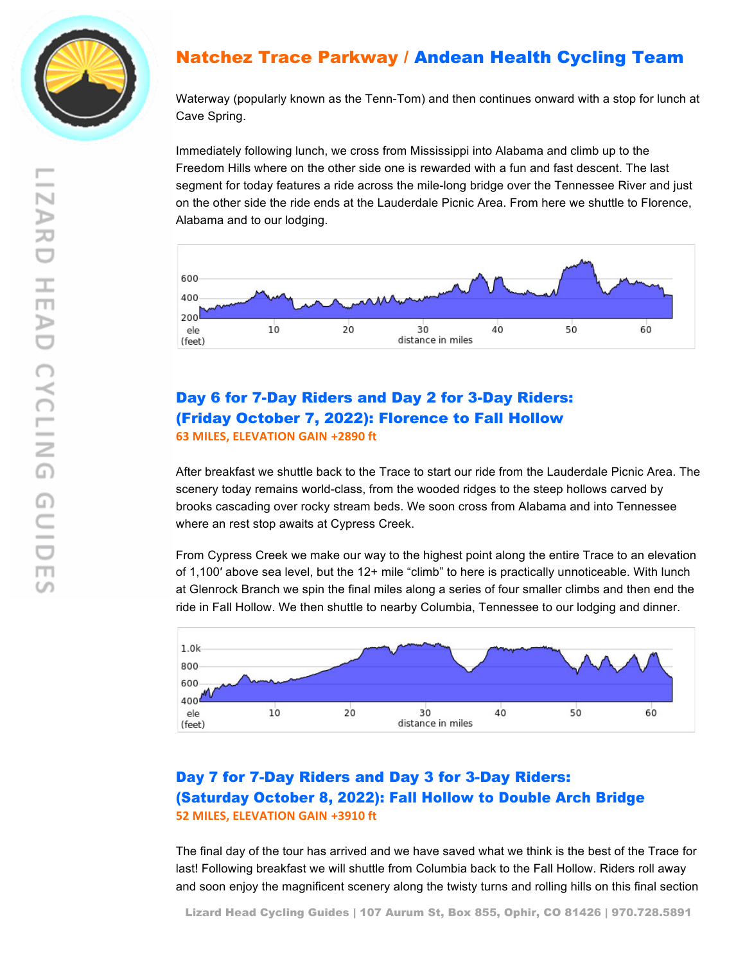

Waterway (popularly known as the Tenn-Tom) and then continues onward with a stop for lunch at Cave Spring.

Immediately following lunch, we cross from Mississippi into Alabama and climb up to the Freedom Hills where on the other side one is rewarded with a fun and fast descent. The last segment for today features a ride across the mile-long bridge over the Tennessee River and just on the other side the ride ends at the Lauderdale Picnic Area. From here we shuttle to Florence, Alabama and to our lodging.



## Day 6 for 7-Day Riders and Day 2 for 3-Day Riders: (Friday October 7, 2022): Florence to Fall Hollow **63 MILES, ELEVATION GAIN +2890 ft**

After breakfast we shuttle back to the Trace to start our ride from the Lauderdale Picnic Area. The scenery today remains world-class, from the wooded ridges to the steep hollows carved by brooks cascading over rocky stream beds. We soon cross from Alabama and into Tennessee where an rest stop awaits at Cypress Creek.

From Cypress Creek we make our way to the highest point along the entire Trace to an elevation of 1,100′ above sea level, but the 12+ mile "climb" to here is practically unnoticeable. With lunch at Glenrock Branch we spin the final miles along a series of four smaller climbs and then end the ride in Fall Hollow. We then shuttle to nearby Columbia, Tennessee to our lodging and dinner.



## Day 7 for 7-Day Riders and Day 3 for 3-Day Riders: (Saturday October 8, 2022): Fall Hollow to Double Arch Bridge **52 MILES, ELEVATION GAIN +3910 ft**

The final day of the tour has arrived and we have saved what we think is the best of the Trace for last! Following breakfast we will shuttle from Columbia back to the Fall Hollow. Riders roll away and soon enjoy the magnificent scenery along the twisty turns and rolling hills on this final section